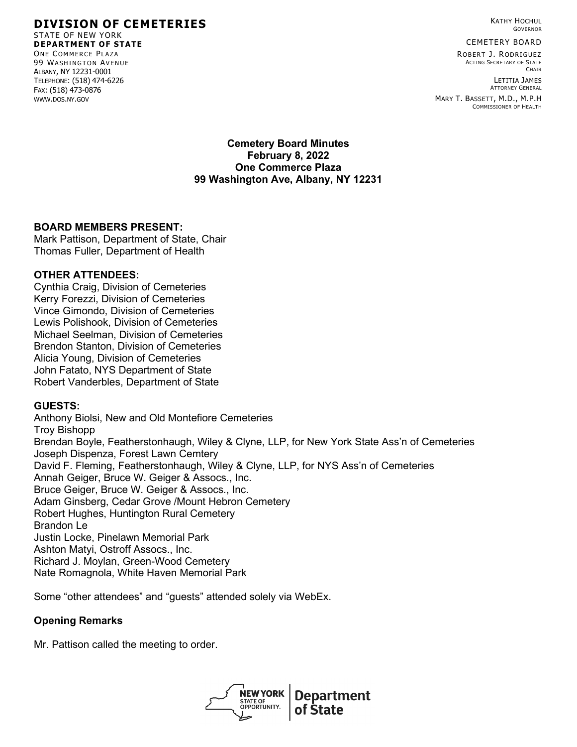GOVERNOR

KATHY HOCHUL

CEMETERY BOARD

ROBERT J. RODRIGUEZ ACTING SECRETARY OF STATE **CHAIR** 

LETITIA JAMES ATTORNEY GENERAL

MARY T. BASSETT, M.D., M.P.H COMMISSIONER OF HEALTH

**Cemetery Board Minutes February 8, 2022 One Commerce Plaza 99 Washington Ave, Albany, NY 12231**

# **BOARD MEMBERS PRESENT:**

Mark Pattison, Department of State, Chair Thomas Fuller, Department of Health

#### **OTHER ATTENDEES:**

Cynthia Craig, Division of Cemeteries Kerry Forezzi, Division of Cemeteries Vince Gimondo, Division of Cemeteries Lewis Polishook, Division of Cemeteries Michael Seelman, Division of Cemeteries Brendon Stanton, Division of Cemeteries Alicia Young, Division of Cemeteries John Fatato, NYS Department of State Robert Vanderbles, Department of State

# **GUESTS:**

Anthony Biolsi, New and Old Montefiore Cemeteries Troy Bishopp Brendan Boyle, Featherstonhaugh, Wiley & Clyne, LLP, for New York State Ass'n of Cemeteries Joseph Dispenza, Forest Lawn Cemtery David F. Fleming, Featherstonhaugh, Wiley & Clyne, LLP, for NYS Ass'n of Cemeteries Annah Geiger, Bruce W. Geiger & Assocs., Inc. Bruce Geiger, Bruce W. Geiger & Assocs., Inc. Adam Ginsberg, Cedar Grove /Mount Hebron Cemetery Robert Hughes, Huntington Rural Cemetery Brandon Le Justin Locke, Pinelawn Memorial Park Ashton Matyi, Ostroff Assocs., Inc. Richard J. Moylan, Green-Wood Cemetery Nate Romagnola, White Haven Memorial Park

Some "other attendees" and "guests" attended solely via WebEx.

# **Opening Remarks**

Mr. Pattison called the meeting to order.



# **DIVISION OF CEMETERIES**

STATE OF NEW YORK **DEPARTMENT OF STATE** ONE COMMERCE PLAZA 99 WASHINGTON AVENUE ALBANY, NY 12231-0001 TELEPHONE: (518) 474-6226 FAX: (518) 473-0876 WWW.DOS.NY.GOV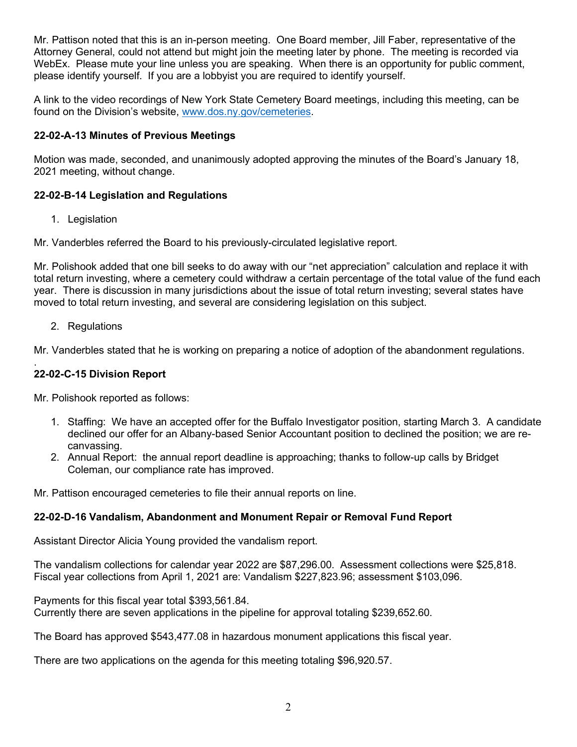Mr. Pattison noted that this is an in-person meeting. One Board member, Jill Faber, representative of the Attorney General, could not attend but might join the meeting later by phone. The meeting is recorded via WebEx. Please mute your line unless you are speaking. When there is an opportunity for public comment, please identify yourself. If you are a lobbyist you are required to identify yourself.

A link to the video recordings of New York State Cemetery Board meetings, including this meeting, can be found on the Division's website, [www.dos.ny.gov/cemeteries.](http://www.dos.ny.gov/cemeteries)

# **22-02-A-13 Minutes of Previous Meetings**

Motion was made, seconded, and unanimously adopted approving the minutes of the Board's January 18, 2021 meeting, without change.

# **22-02-B-14 Legislation and Regulations**

1. Legislation

Mr. Vanderbles referred the Board to his previously-circulated legislative report.

Mr. Polishook added that one bill seeks to do away with our "net appreciation" calculation and replace it with total return investing, where a cemetery could withdraw a certain percentage of the total value of the fund each year. There is discussion in many jurisdictions about the issue of total return investing; several states have moved to total return investing, and several are considering legislation on this subject.

# 2. Regulations

Mr. Vanderbles stated that he is working on preparing a notice of adoption of the abandonment regulations.

#### . **22-02-C-15 Division Report**

Mr. Polishook reported as follows:

- 1. Staffing: We have an accepted offer for the Buffalo Investigator position, starting March 3. A candidate declined our offer for an Albany-based Senior Accountant position to declined the position; we are recanvassing.
- 2. Annual Report: the annual report deadline is approaching; thanks to follow-up calls by Bridget Coleman, our compliance rate has improved.

Mr. Pattison encouraged cemeteries to file their annual reports on line.

# **22-02-D-16 Vandalism, Abandonment and Monument Repair or Removal Fund Report**

Assistant Director Alicia Young provided the vandalism report.

The vandalism collections for calendar year 2022 are \$87,296.00. Assessment collections were \$25,818. Fiscal year collections from April 1, 2021 are: Vandalism \$227,823.96; assessment \$103,096.

Payments for this fiscal year total \$393,561.84.

Currently there are seven applications in the pipeline for approval totaling \$239,652.60.

The Board has approved \$543,477.08 in hazardous monument applications this fiscal year.

There are two applications on the agenda for this meeting totaling \$96,920.57.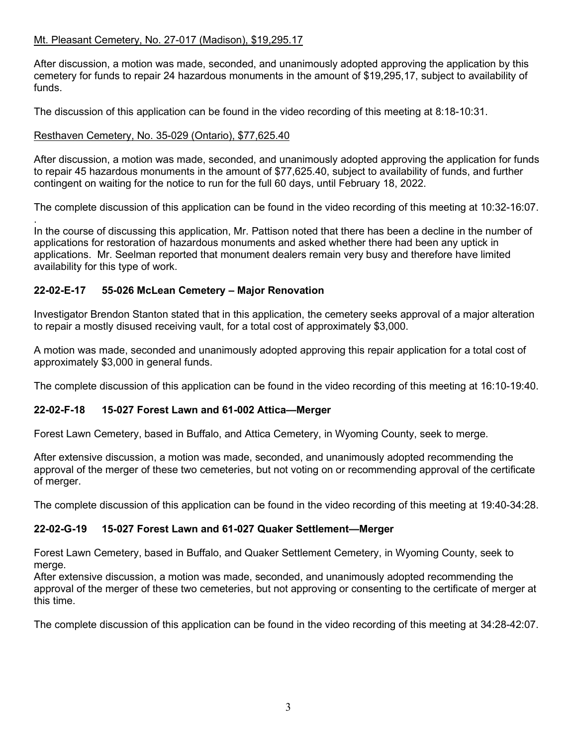# Mt. Pleasant Cemetery, No. 27-017 (Madison), \$19,295.17

After discussion, a motion was made, seconded, and unanimously adopted approving the application by this cemetery for funds to repair 24 hazardous monuments in the amount of \$19,295,17, subject to availability of funds.

The discussion of this application can be found in the video recording of this meeting at 8:18-10:31.

#### Resthaven Cemetery, No. 35-029 (Ontario), \$77,625.40

After discussion, a motion was made, seconded, and unanimously adopted approving the application for funds to repair 45 hazardous monuments in the amount of \$77,625.40, subject to availability of funds, and further contingent on waiting for the notice to run for the full 60 days, until February 18, 2022.

The complete discussion of this application can be found in the video recording of this meeting at 10:32-16:07.

. In the course of discussing this application, Mr. Pattison noted that there has been a decline in the number of applications for restoration of hazardous monuments and asked whether there had been any uptick in applications. Mr. Seelman reported that monument dealers remain very busy and therefore have limited availability for this type of work.

# **22-02-E-17 55-026 McLean Cemetery – Major Renovation**

Investigator Brendon Stanton stated that in this application, the cemetery seeks approval of a major alteration to repair a mostly disused receiving vault, for a total cost of approximately \$3,000.

A motion was made, seconded and unanimously adopted approving this repair application for a total cost of approximately \$3,000 in general funds.

The complete discussion of this application can be found in the video recording of this meeting at 16:10-19:40.

# **22-02-F-18 15-027 Forest Lawn and 61-002 Attica—Merger**

Forest Lawn Cemetery, based in Buffalo, and Attica Cemetery, in Wyoming County, seek to merge.

After extensive discussion, a motion was made, seconded, and unanimously adopted recommending the approval of the merger of these two cemeteries, but not voting on or recommending approval of the certificate of merger.

The complete discussion of this application can be found in the video recording of this meeting at 19:40-34:28.

# **22-02-G-19 15-027 Forest Lawn and 61-027 Quaker Settlement—Merger**

Forest Lawn Cemetery, based in Buffalo, and Quaker Settlement Cemetery, in Wyoming County, seek to merge.

After extensive discussion, a motion was made, seconded, and unanimously adopted recommending the approval of the merger of these two cemeteries, but not approving or consenting to the certificate of merger at this time.

The complete discussion of this application can be found in the video recording of this meeting at 34:28-42:07.